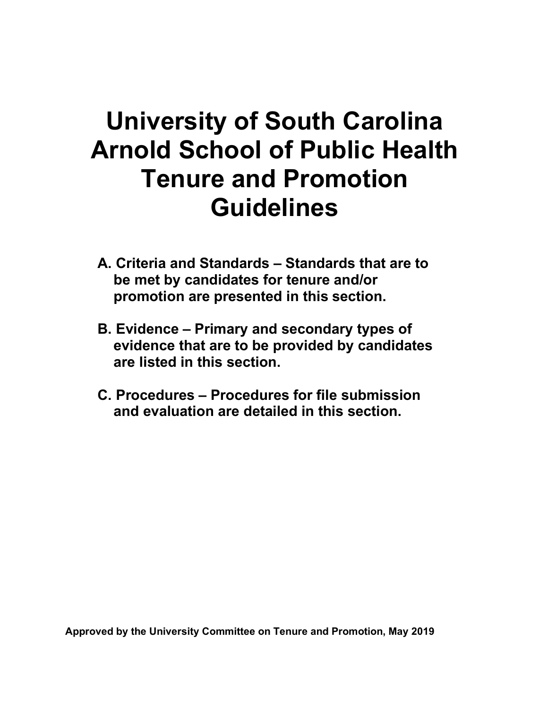# **University of South Carolina Arnold School of Public Health Tenure and Promotion Guidelines**

- **A. Criteria and Standards – Standards that are to be met by candidates for tenure and/or promotion are presented in this section.**
- **B. Evidence – Primary and secondary types of evidence that are to be provided by candidates are listed in this section.**
- **C. Procedures – Procedures for file submission and evaluation are detailed in this section.**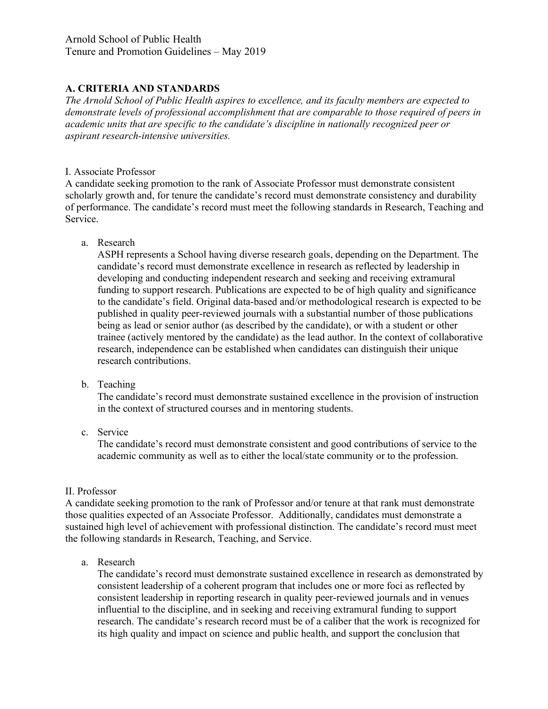## **A. CRITERIA AND STANDARDS**

*The Arnold School of Public Health aspires to excellence, and its faculty members are expected to demonstrate levels of professional accomplishment that are comparable to those required of peers in academic units that are specific to the candidate's discipline in nationally recognized peer or aspirant research-intensive universities.*

## I. Associate Professor

A candidate seeking promotion to the rank of Associate Professor must demonstrate consistent scholarly growth and, for tenure the candidate's record must demonstrate consistency and durability of performance. The candidate's record must meet the following standards in Research, Teaching and Service.

## a. Research

ASPH represents a School having diverse research goals, depending on the Department. The candidate's record must demonstrate excellence in research as reflected by leadership in developing and conducting independent research and seeking and receiving extramural funding to support research. Publications are expected to be of high quality and significance to the candidate's field. Original data-based and/or methodological research is expected to be published in quality peer-reviewed journals with a substantial number of those publications being as lead or senior author (as described by the candidate), or with a student or other trainee (actively mentored by the candidate) as the lead author. In the context of collaborative research, independence can be established when candidates can distinguish their unique research contributions.

## b. Teaching

The candidate's record must demonstrate sustained excellence in the provision of instruction in the context of structured courses and in mentoring students.

## c. Service

The candidate's record must demonstrate consistent and good contributions of service to the academic community as well as to either the local/state community or to the profession.

## II. Professor

A candidate seeking promotion to the rank of Professor and/or tenure at that rank must demonstrate those qualities expected of an Associate Professor. Additionally, candidates must demonstrate a sustained high level of achievement with professional distinction. The candidate's record must meet the following standards in Research, Teaching, and Service.

## a. Research

The candidate's record must demonstrate sustained excellence in research as demonstrated by consistent leadership of a coherent program that includes one or more foci as reflected by consistent leadership in reporting research in quality peer-reviewed journals and in venues influential to the discipline, and in seeking and receiving extramural funding to support research. The candidate's research record must be of a caliber that the work is recognized for its high quality and impact on science and public health, and support the conclusion that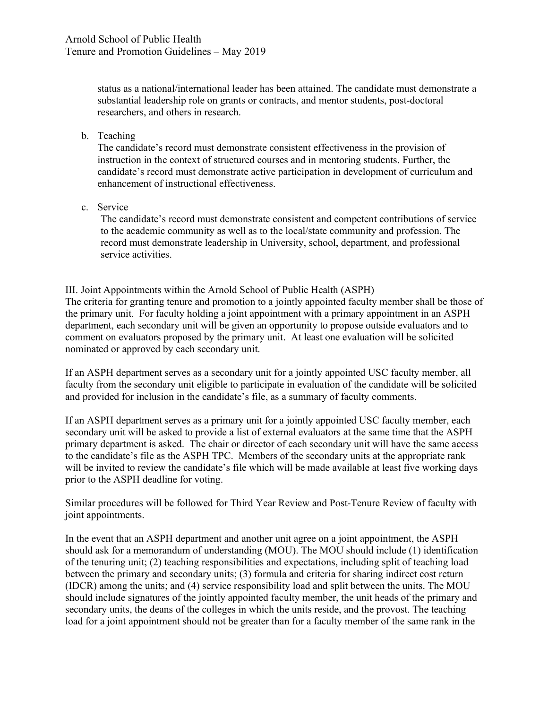status as a national/international leader has been attained. The candidate must demonstrate a substantial leadership role on grants or contracts, and mentor students, post-doctoral researchers, and others in research.

b. Teaching

The candidate's record must demonstrate consistent effectiveness in the provision of instruction in the context of structured courses and in mentoring students. Further, the candidate's record must demonstrate active participation in development of curriculum and enhancement of instructional effectiveness.

c. Service

The candidate's record must demonstrate consistent and competent contributions of service to the academic community as well as to the local/state community and profession. The record must demonstrate leadership in University, school, department, and professional service activities.

## III. Joint Appointments within the Arnold School of Public Health (ASPH)

The criteria for granting tenure and promotion to a jointly appointed faculty member shall be those of the primary unit. For faculty holding a joint appointment with a primary appointment in an ASPH department, each secondary unit will be given an opportunity to propose outside evaluators and to comment on evaluators proposed by the primary unit. At least one evaluation will be solicited nominated or approved by each secondary unit.

If an ASPH department serves as a secondary unit for a jointly appointed USC faculty member, all faculty from the secondary unit eligible to participate in evaluation of the candidate will be solicited and provided for inclusion in the candidate's file, as a summary of faculty comments.

If an ASPH department serves as a primary unit for a jointly appointed USC faculty member, each secondary unit will be asked to provide a list of external evaluators at the same time that the ASPH primary department is asked. The chair or director of each secondary unit will have the same access to the candidate's file as the ASPH TPC. Members of the secondary units at the appropriate rank will be invited to review the candidate's file which will be made available at least five working days prior to the ASPH deadline for voting.

Similar procedures will be followed for Third Year Review and Post-Tenure Review of faculty with joint appointments.

In the event that an ASPH department and another unit agree on a joint appointment, the ASPH should ask for a memorandum of understanding (MOU). The MOU should include (1) identification of the tenuring unit; (2) teaching responsibilities and expectations, including split of teaching load between the primary and secondary units; (3) formula and criteria for sharing indirect cost return (IDCR) among the units; and (4) service responsibility load and split between the units. The MOU should include signatures of the jointly appointed faculty member, the unit heads of the primary and secondary units, the deans of the colleges in which the units reside, and the provost. The teaching load for a joint appointment should not be greater than for a faculty member of the same rank in the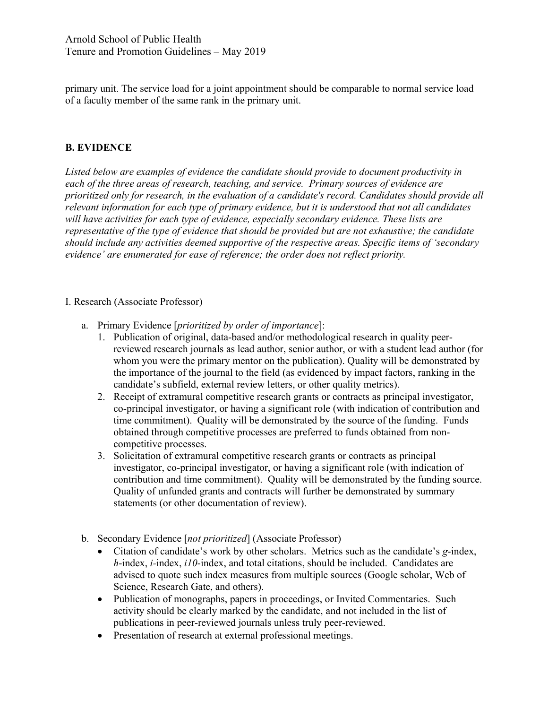primary unit. The service load for a joint appointment should be comparable to normal service load of a faculty member of the same rank in the primary unit.

## **B. EVIDENCE**

*Listed below are examples of evidence the candidate should provide to document productivity in each of the three areas of research, teaching, and service. Primary sources of evidence are prioritized only for research, in the evaluation of a candidate's record. Candidates should provide all relevant information for each type of primary evidence, but it is understood that not all candidates will have activities for each type of evidence, especially secondary evidence. These lists are representative of the type of evidence that should be provided but are not exhaustive; the candidate should include any activities deemed supportive of the respective areas. Specific items of 'secondary evidence' are enumerated for ease of reference; the order does not reflect priority.* 

## I. Research (Associate Professor)

- a. Primary Evidence [*prioritized by order of importance*]:
	- 1. Publication of original, data-based and/or methodological research in quality peerreviewed research journals as lead author, senior author, or with a student lead author (for whom you were the primary mentor on the publication). Quality will be demonstrated by the importance of the journal to the field (as evidenced by impact factors, ranking in the candidate's subfield, external review letters, or other quality metrics).
	- 2. Receipt of extramural competitive research grants or contracts as principal investigator, co-principal investigator, or having a significant role (with indication of contribution and time commitment). Quality will be demonstrated by the source of the funding. Funds obtained through competitive processes are preferred to funds obtained from noncompetitive processes.
	- 3. Solicitation of extramural competitive research grants or contracts as principal investigator, co-principal investigator, or having a significant role (with indication of contribution and time commitment). Quality will be demonstrated by the funding source. Quality of unfunded grants and contracts will further be demonstrated by summary statements (or other documentation of review).
- b. Secondary Evidence [*not prioritized*] (Associate Professor)
	- Citation of candidate's work by other scholars. Metrics such as the candidate's *g-*index, *h*-index, *i-*index, *i10*-index, and total citations, should be included. Candidates are advised to quote such index measures from multiple sources (Google scholar, Web of Science, Research Gate, and others).
	- Publication of monographs, papers in proceedings, or Invited Commentaries. Such activity should be clearly marked by the candidate, and not included in the list of publications in peer-reviewed journals unless truly peer-reviewed.
	- Presentation of research at external professional meetings.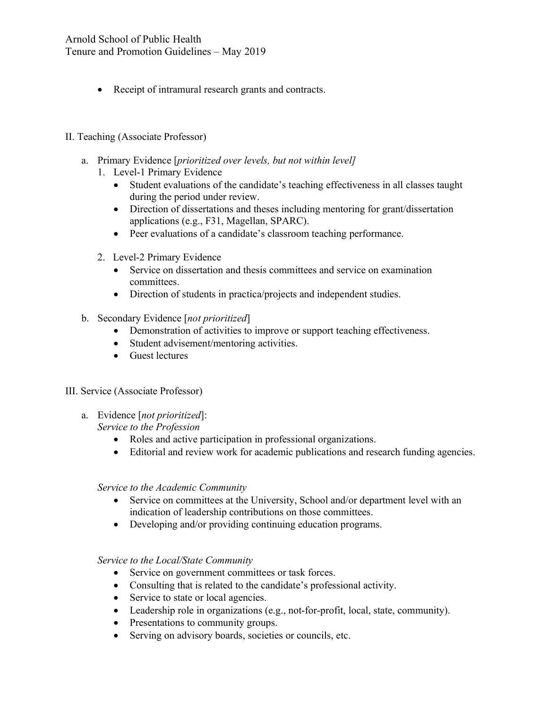Arnold School of Public Health Tenure and Promotion Guidelines – May 2019

• Receipt of intramural research grants and contracts.

## II. Teaching (Associate Professor)

- a. Primary Evidence [*prioritized over levels, but not within level]*
	- 1. Level-1 Primary Evidence
		- Student evaluations of the candidate's teaching effectiveness in all classes taught during the period under review.
		- Direction of dissertations and theses including mentoring for grant/dissertation applications (e.g., F31, Magellan, SPARC).
		- Peer evaluations of a candidate's classroom teaching performance.
	- 2. Level-2 Primary Evidence
		- Service on dissertation and thesis committees and service on examination committees.
		- Direction of students in practica/projects and independent studies.
- b. Secondary Evidence [*not prioritized*]
	- Demonstration of activities to improve or support teaching effectiveness.
	- Student advisement/mentoring activities.
	- Guest lectures

## III. Service (Associate Professor)

a. Evidence [*not prioritized*]:

*Service to the Profession* 

- Roles and active participation in professional organizations.
- Editorial and review work for academic publications and research funding agencies.

## *Service to the Academic Community*

- Service on committees at the University, School and/or department level with an indication of leadership contributions on those committees.
- Developing and/or providing continuing education programs.

*Service to the Local/State Community* 

- Service on government committees or task forces.
- Consulting that is related to the candidate's professional activity.
- Service to state or local agencies.
- Leadership role in organizations (e.g., not-for-profit, local, state, community).
- Presentations to community groups.
- Serving on advisory boards, societies or councils, etc.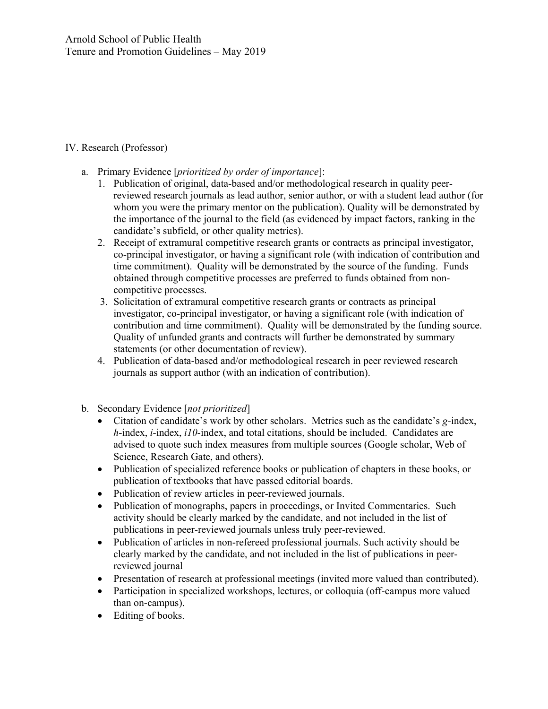## IV. Research (Professor)

- a. Primary Evidence [*prioritized by order of importance*]:
	- 1. Publication of original, data-based and/or methodological research in quality peerreviewed research journals as lead author, senior author, or with a student lead author (for whom you were the primary mentor on the publication). Quality will be demonstrated by the importance of the journal to the field (as evidenced by impact factors, ranking in the candidate's subfield, or other quality metrics).
	- 2. Receipt of extramural competitive research grants or contracts as principal investigator, co-principal investigator, or having a significant role (with indication of contribution and time commitment). Quality will be demonstrated by the source of the funding. Funds obtained through competitive processes are preferred to funds obtained from noncompetitive processes.
	- 3. Solicitation of extramural competitive research grants or contracts as principal investigator, co-principal investigator, or having a significant role (with indication of contribution and time commitment). Quality will be demonstrated by the funding source. Quality of unfunded grants and contracts will further be demonstrated by summary statements (or other documentation of review).
	- 4. Publication of data-based and/or methodological research in peer reviewed research journals as support author (with an indication of contribution).
- b. Secondary Evidence [*not prioritized*]
	- Citation of candidate's work by other scholars. Metrics such as the candidate's *g-*index, *h*-index, *i-*index, *i10*-index, and total citations, should be included. Candidates are advised to quote such index measures from multiple sources (Google scholar, Web of Science, Research Gate, and others).
	- Publication of specialized reference books or publication of chapters in these books, or publication of textbooks that have passed editorial boards.
	- Publication of review articles in peer-reviewed journals.
	- Publication of monographs, papers in proceedings, or Invited Commentaries. Such activity should be clearly marked by the candidate, and not included in the list of publications in peer-reviewed journals unless truly peer-reviewed.
	- Publication of articles in non-refereed professional journals. Such activity should be clearly marked by the candidate, and not included in the list of publications in peerreviewed journal
	- Presentation of research at professional meetings (invited more valued than contributed).
	- Participation in specialized workshops, lectures, or colloquia (off-campus more valued than on-campus).
	- Editing of books.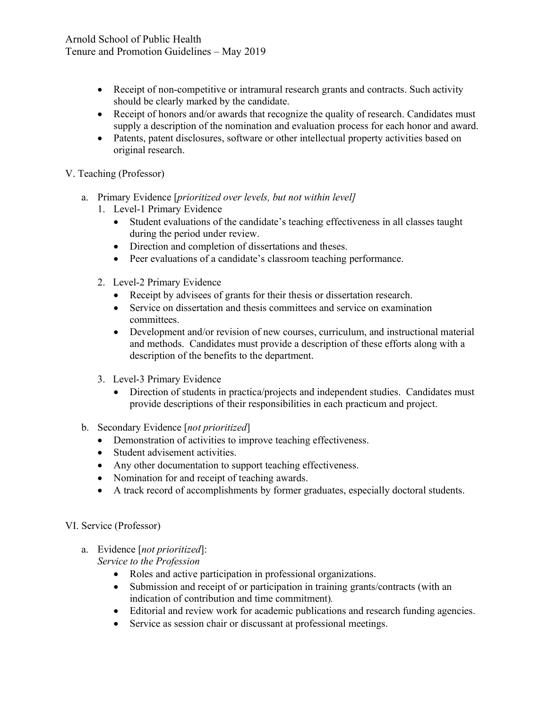- Receipt of non-competitive or intramural research grants and contracts. Such activity should be clearly marked by the candidate.
- Receipt of honors and/or awards that recognize the quality of research. Candidates must supply a description of the nomination and evaluation process for each honor and award.
- Patents, patent disclosures, software or other intellectual property activities based on original research.

V. Teaching (Professor)

- a. Primary Evidence [*prioritized over levels, but not within level]*
	- 1. Level-1 Primary Evidence
		- Student evaluations of the candidate's teaching effectiveness in all classes taught during the period under review.
		- Direction and completion of dissertations and theses.
		- Peer evaluations of a candidate's classroom teaching performance.
	- 2. Level-2 Primary Evidence
		- Receipt by advisees of grants for their thesis or dissertation research.
		- Service on dissertation and thesis committees and service on examination committees.
		- Development and/or revision of new courses, curriculum, and instructional material and methods. Candidates must provide a description of these efforts along with a description of the benefits to the department.
	- 3. Level-3 Primary Evidence
		- Direction of students in practica/projects and independent studies. Candidates must provide descriptions of their responsibilities in each practicum and project.
- b. Secondary Evidence [*not prioritized*]
	- Demonstration of activities to improve teaching effectiveness.
	- Student advisement activities.
	- Any other documentation to support teaching effectiveness.
	- Nomination for and receipt of teaching awards.
	- A track record of accomplishments by former graduates, especially doctoral students.
- VI. Service (Professor)
	- a. Evidence [*not prioritized*]:

*Service to the Profession* 

- Roles and active participation in professional organizations.
- Submission and receipt of or participation in training grants/contracts (with an indication of contribution and time commitment)*.*
- Editorial and review work for academic publications and research funding agencies.
- Service as session chair or discussant at professional meetings.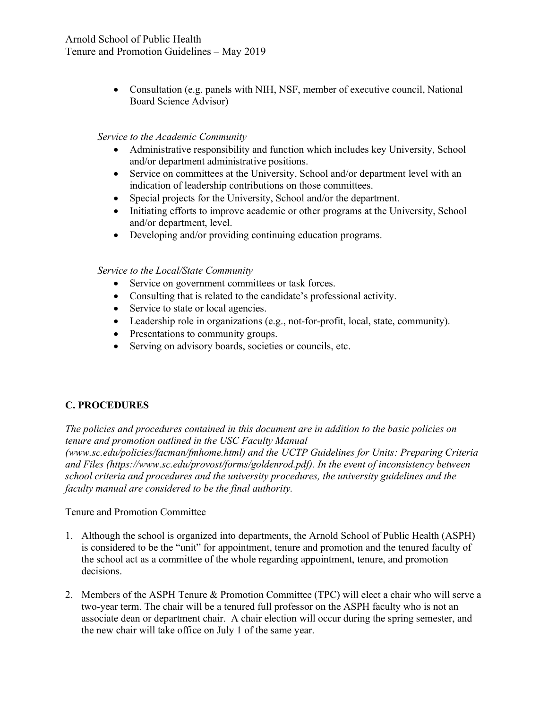• Consultation (e.g. panels with NIH, NSF, member of executive council, National Board Science Advisor)

#### *Service to the Academic Community*

- Administrative responsibility and function which includes key University, School and/or department administrative positions.
- Service on committees at the University, School and/or department level with an indication of leadership contributions on those committees.
- Special projects for the University, School and/or the department.
- Initiating efforts to improve academic or other programs at the University, School and/or department, level.
- Developing and/or providing continuing education programs.

## *Service to the Local/State Community*

- Service on government committees or task forces.
- Consulting that is related to the candidate's professional activity.
- Service to state or local agencies.
- Leadership role in organizations (e.g., not-for-profit, local, state, community).
- Presentations to community groups.
- Serving on advisory boards, societies or councils, etc.

## **C. PROCEDURES**

*The policies and procedures contained in this document are in addition to the basic policies on tenure and promotion outlined in the USC Faculty Manual* 

*(www.sc.edu/policies/facman/fmhome.html) and the UCTP Guidelines for Units: Preparing Criteria and Files (https://www.sc.edu/provost/forms/goldenrod.pdf). In the event of inconsistency between school criteria and procedures and the university procedures, the university guidelines and the faculty manual are considered to be the final authority.* 

Tenure and Promotion Committee

- 1. Although the school is organized into departments, the Arnold School of Public Health (ASPH) is considered to be the "unit" for appointment, tenure and promotion and the tenured faculty of the school act as a committee of the whole regarding appointment, tenure, and promotion decisions.
- 2. Members of the ASPH Tenure & Promotion Committee (TPC) will elect a chair who will serve a two-year term. The chair will be a tenured full professor on the ASPH faculty who is not an associate dean or department chair. A chair election will occur during the spring semester, and the new chair will take office on July 1 of the same year.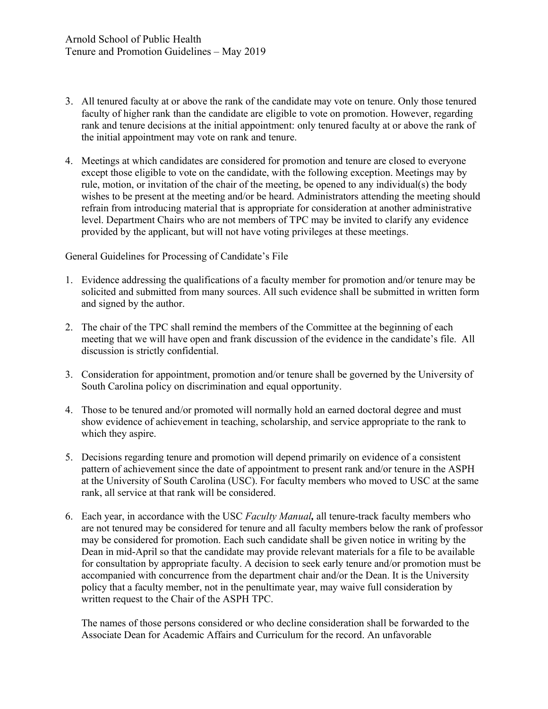- 3. All tenured faculty at or above the rank of the candidate may vote on tenure. Only those tenured faculty of higher rank than the candidate are eligible to vote on promotion. However, regarding rank and tenure decisions at the initial appointment: only tenured faculty at or above the rank of the initial appointment may vote on rank and tenure.
- 4. Meetings at which candidates are considered for promotion and tenure are closed to everyone except those eligible to vote on the candidate, with the following exception. Meetings may by rule, motion, or invitation of the chair of the meeting, be opened to any individual(s) the body wishes to be present at the meeting and/or be heard. Administrators attending the meeting should refrain from introducing material that is appropriate for consideration at another administrative level. Department Chairs who are not members of TPC may be invited to clarify any evidence provided by the applicant, but will not have voting privileges at these meetings.

General Guidelines for Processing of Candidate's File

- 1. Evidence addressing the qualifications of a faculty member for promotion and/or tenure may be solicited and submitted from many sources. All such evidence shall be submitted in written form and signed by the author.
- 2. The chair of the TPC shall remind the members of the Committee at the beginning of each meeting that we will have open and frank discussion of the evidence in the candidate's file. All discussion is strictly confidential.
- 3. Consideration for appointment, promotion and/or tenure shall be governed by the University of South Carolina policy on discrimination and equal opportunity.
- 4. Those to be tenured and/or promoted will normally hold an earned doctoral degree and must show evidence of achievement in teaching, scholarship, and service appropriate to the rank to which they aspire.
- 5. Decisions regarding tenure and promotion will depend primarily on evidence of a consistent pattern of achievement since the date of appointment to present rank and/or tenure in the ASPH at the University of South Carolina (USC). For faculty members who moved to USC at the same rank, all service at that rank will be considered.
- 6. Each year, in accordance with the USC *Faculty Manual,* all tenure-track faculty members who are not tenured may be considered for tenure and all faculty members below the rank of professor may be considered for promotion. Each such candidate shall be given notice in writing by the Dean in mid-April so that the candidate may provide relevant materials for a file to be available for consultation by appropriate faculty. A decision to seek early tenure and/or promotion must be accompanied with concurrence from the department chair and/or the Dean. It is the University policy that a faculty member, not in the penultimate year, may waive full consideration by written request to the Chair of the ASPH TPC.

The names of those persons considered or who decline consideration shall be forwarded to the Associate Dean for Academic Affairs and Curriculum for the record. An unfavorable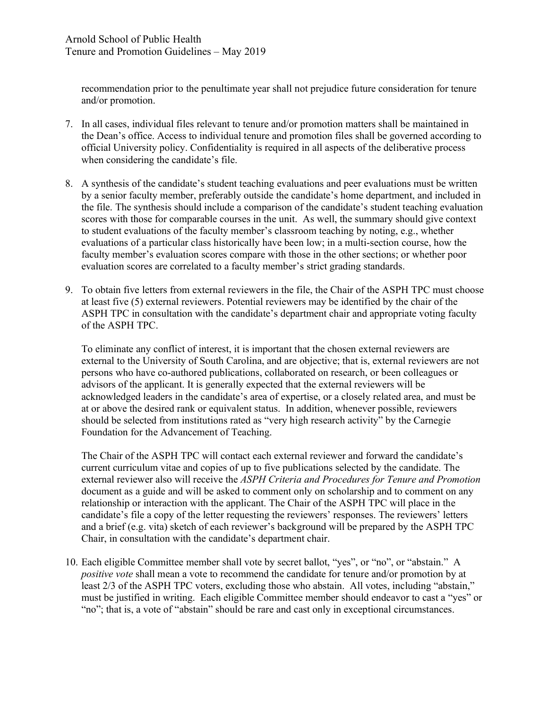recommendation prior to the penultimate year shall not prejudice future consideration for tenure and/or promotion.

- 7. In all cases, individual files relevant to tenure and/or promotion matters shall be maintained in the Dean's office. Access to individual tenure and promotion files shall be governed according to official University policy. Confidentiality is required in all aspects of the deliberative process when considering the candidate's file.
- 8. A synthesis of the candidate's student teaching evaluations and peer evaluations must be written by a senior faculty member, preferably outside the candidate's home department, and included in the file. The synthesis should include a comparison of the candidate's student teaching evaluation scores with those for comparable courses in the unit. As well, the summary should give context to student evaluations of the faculty member's classroom teaching by noting, e.g., whether evaluations of a particular class historically have been low; in a multi-section course, how the faculty member's evaluation scores compare with those in the other sections; or whether poor evaluation scores are correlated to a faculty member's strict grading standards.
- 9. To obtain five letters from external reviewers in the file, the Chair of the ASPH TPC must choose at least five (5) external reviewers. Potential reviewers may be identified by the chair of the ASPH TPC in consultation with the candidate's department chair and appropriate voting faculty of the ASPH TPC.

To eliminate any conflict of interest, it is important that the chosen external reviewers are external to the University of South Carolina, and are objective; that is, external reviewers are not persons who have co-authored publications, collaborated on research, or been colleagues or advisors of the applicant. It is generally expected that the external reviewers will be acknowledged leaders in the candidate's area of expertise, or a closely related area, and must be at or above the desired rank or equivalent status. In addition, whenever possible, reviewers should be selected from institutions rated as "very high research activity" by the Carnegie Foundation for the Advancement of Teaching.

The Chair of the ASPH TPC will contact each external reviewer and forward the candidate's current curriculum vitae and copies of up to five publications selected by the candidate. The external reviewer also will receive the *ASPH Criteria and Procedures for Tenure and Promotion*  document as a guide and will be asked to comment only on scholarship and to comment on any relationship or interaction with the applicant. The Chair of the ASPH TPC will place in the candidate's file a copy of the letter requesting the reviewers' responses. The reviewers' letters and a brief (e.g. vita) sketch of each reviewer's background will be prepared by the ASPH TPC Chair, in consultation with the candidate's department chair.

10. Each eligible Committee member shall vote by secret ballot, "yes", or "no", or "abstain." A *positive vote* shall mean a vote to recommend the candidate for tenure and/or promotion by at least 2/3 of the ASPH TPC voters, excluding those who abstain. All votes, including "abstain," must be justified in writing. Each eligible Committee member should endeavor to cast a "yes" or "no"; that is, a vote of "abstain" should be rare and cast only in exceptional circumstances.